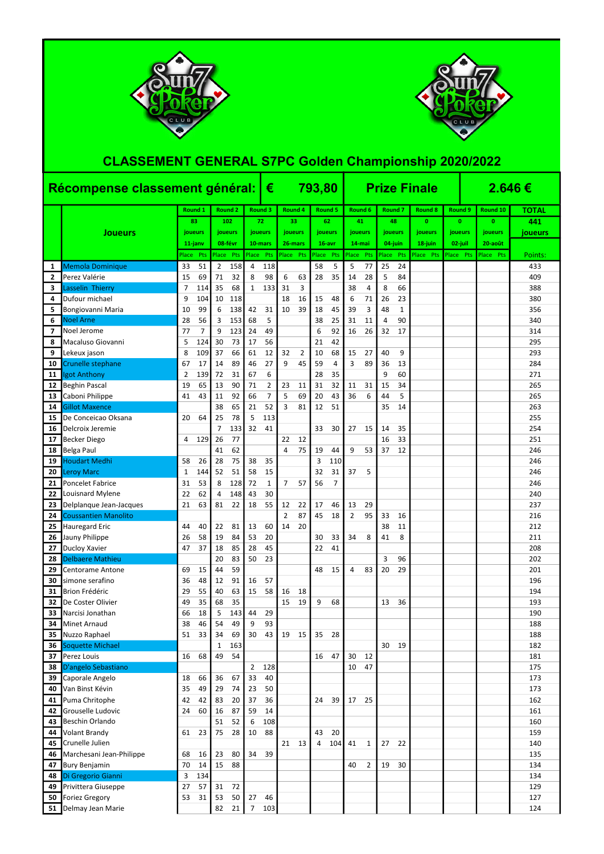|                |                                    | Récompense classement général: $\vert \epsilon \vert$ |            |                |                |                |          | 793,80         |                |       |                |                |                |           |                | <b>Prize Finale</b> |              | $2.646 \in$ |              |              |
|----------------|------------------------------------|-------------------------------------------------------|------------|----------------|----------------|----------------|----------|----------------|----------------|-------|----------------|----------------|----------------|-----------|----------------|---------------------|--------------|-------------|--------------|--------------|
|                |                                    |                                                       | Round 1    |                | <b>Round 2</b> |                | Round 3  | Round 4        |                |       | <b>Round 5</b> |                | Round 6        |           | <b>Round 7</b> | <b>Round 8</b>      | Round 9      |             | Round 10     | <b>TOTAL</b> |
|                |                                    |                                                       | 83         |                | 102            |                | 72       |                | 33             |       | 62             | 41             |                |           | 48             | $\mathbf{0}$        | $\mathbf{0}$ |             | $\mathbf{0}$ | 441          |
|                | <b>Joueurs</b>                     |                                                       | joueurs    |                | joueurs        |                | joueurs  | joueurs        |                |       | joueurs        |                | joueurs        |           | joueurs        | joueurs             | joueurs      |             | joueurs      | joueurs      |
|                |                                    |                                                       | $11$ -janv |                | 08-févr        |                | 10-mars  | 26-mars        |                |       | $16-avr$       |                | 14-mai         |           | 04-juin        | 18-juin             | 02-juil      |             | 20-août      |              |
|                |                                    | Place                                                 | <b>Pts</b> | Place Pts      |                | Place Pts      |          | Place Pts      |                | Place | Pts            | Place Pts      |                | Place Pts |                | Place Pts           | Place        | <b>Pts</b>  | Place Pts    | Points:      |
| 1              | Memola Dominique                   | 33                                                    | 51         | $\overline{2}$ | 158            | 4              | 118      |                |                | 58    | 5              | 5              | 77             | 25        | 24             |                     |              |             |              | 433          |
| $\overline{2}$ | Perez Valérie                      | 15                                                    | 69         | 71             | 32             | 8              | 98       | 6              | 63             | 28    | 35             | 14             | 28             | 5         | 84             |                     |              |             |              | 409          |
| 3              | Lasselin Thierry                   | 7                                                     | 114        | 35             | 68             | $\mathbf{1}$   | 133      | 31             | 3              |       |                | 38             | 4              | 8         | 66             |                     |              |             |              | 388          |
| 4              | Dufour michael                     | 9                                                     | 104        | 10             | 118            |                |          | 18             | 16             | 15    | 48             | 6              | 71             | 26        | 23             |                     |              |             |              | 380          |
| 5              | Bongiovanni Maria                  | 10                                                    | 99         | 6              | 138            | 42             | 31       | 10             | 39             | 18    | 45             | 39             | 3              | 48        | 1              |                     |              |             |              | 356          |
| 6              | <b>Noel Arne</b>                   | 28                                                    | 56         | 3              | 153            | 68             | 5        |                |                | 38    | 25             | 31             | 11             | 4         | 90             |                     |              |             |              | 340          |
| 7              | Noel Jerome                        | 77                                                    | 7          | 9              | 123            | 24             | 49       |                |                | 6     | 92             | 16             | 26             | 32        | 17             |                     |              |             |              | 314          |
| 8              | Macaluso Giovanni                  | 5                                                     | 124        | 30             | 73             | 17             | 56       |                |                | 21    | 42             |                |                |           |                |                     |              |             |              | 295          |
| 9              | Lekeux jason                       | 8                                                     | 109        | 37             | 66             | 61             | 12       | 32             | $\overline{2}$ | 10    | 68             | 15             | 27             | 40        | 9              |                     |              |             |              | 293          |
| 10             | Crunelle stephane                  | 67                                                    | 17         | 14             | 89             | 46             | 27       | 9              | 45             | 59    | $\overline{4}$ | 3              | 89             | 36        | 13             |                     |              |             |              | 284          |
| 11             | Igot Anthony                       | 2                                                     | 139        | 72             | 31             | 67             | 6        |                |                | 28    | 35             |                |                | 9         | 60             |                     |              |             |              | 271          |
| 12             | <b>Beghin Pascal</b>               | 19                                                    | 65         | 13             | 90             | 71             | 2        | 23             | 11             | 31    | 32             | 11             | 31             | 15        | 34             |                     |              |             |              | 265          |
| 13             | Caboni Philippe                    | 41                                                    | 43         | 11             | 92             | 66             | 7        | 5              | 69             | 20    | 43             | 36             | 6              | 44        | 5              |                     |              |             |              | 265          |
| 14             | <b>Gillot Maxence</b>              |                                                       |            | 38             | 65             | 21             | 52       | 3              | 81             | 12    | 51             |                |                | 35        | 14             |                     |              |             |              | 263          |
| 15             | De Conceicao Oksana                | 20                                                    | 64         | 25             | 78             | 5              | 113      |                |                |       |                |                |                |           |                |                     |              |             |              | 255          |
| 16             | Delcroix Jeremie                   | 4                                                     | 129        | 7<br>26        | 133<br>77      | 32             | 41       | 22             | 12             | 33    | 30             | 27             | 15             | 14<br>16  | 35<br>33       |                     |              |             |              | 254<br>251   |
| 17             | <b>Becker Diego</b>                |                                                       |            | 41             | 62             |                |          | 4              | 75             | 19    | 44             | 9              | 53             | 37        | 12             |                     |              |             |              | 246          |
| 18<br>19       | Belga Paul<br><b>Houdart Medhi</b> | 58                                                    | 26         | 28             | 75             | 38             | 35       |                |                | 3     | 110            |                |                |           |                |                     |              |             |              | 246          |
| 20             | <b>Leroy Marc</b>                  | 1                                                     | 144        | 52             | 51             | 58             | 15       |                |                | 32    | 31             | 37             | 5              |           |                |                     |              |             |              | 246          |
| 21             | <b>Poncelet Fabrice</b>            | 31                                                    | 53         | 8              | 128            | 72             | 1        | 7              | 57             | 56    | 7              |                |                |           |                |                     |              |             |              | 246          |
| 22             | Louisnard Mylene                   | 22                                                    | 62         | 4              | 148            | 43             | 30       |                |                |       |                |                |                |           |                |                     |              |             |              | 240          |
| 23             | Delplanque Jean-Jacques            | 21                                                    | 63         | 81             | 22             | 18             | 55       | 12             | 22             | 17    | 46             | 13             | 29             |           |                |                     |              |             |              | 237          |
| 24             | <b>Coussantien Manolito</b>        |                                                       |            |                |                |                |          | $\overline{2}$ | 87             | 45    | 18             | $\overline{2}$ | 95             | 33        | 16             |                     |              |             |              | 216          |
| 25             | Hauregard Eric                     | 44                                                    | 40         | 22             | 81             | 13             | 60       | 14             | 20             |       |                |                |                | 38        | 11             |                     |              |             |              | 212          |
| 26             | Jauny Philippe                     | 26                                                    | 58         | 19             | 84             | 53             | 20       |                |                | 30    | 33             | 34             | 8              | 41        | 8              |                     |              |             |              | 211          |
| 27             | Ducloy Xavier                      | 47                                                    | 37         | 18             | 85             | 28             | 45       |                |                | 22    | 41             |                |                |           |                |                     |              |             |              | 208          |
| 28             | <b>Delbaere Mathieu</b>            |                                                       |            | 20             | 83             | 50             | 23       |                |                |       |                |                |                | 3         | 96             |                     |              |             |              | 202          |
| 29             | Centorame Antone                   | 69                                                    | 15         | 44             | 59             |                |          |                |                | 48    | 15             | $\overline{a}$ | 83             | 20        | 29             |                     |              |             |              | 201          |
| 30             | simone serafino                    | 36                                                    | 48         | 12             | 91             | 16             | 57       |                |                |       |                |                |                |           |                |                     |              |             |              | 196          |
| 31             | Brion Frédéric                     | 29                                                    | 55         | 40             | 63             | 15             | 58       | 16             | 18             |       |                |                |                |           |                |                     |              |             |              | 194          |
| 32             | De Coster Olivier                  | 49                                                    | 35         | 68             | 35             |                |          | 15             | 19             | 9     | 68             |                |                | 13        | 36             |                     |              |             |              | 193          |
| 33             | Narcisi Jonathan                   | 66                                                    | 18         | 5              | 143            | 44             | 29       |                |                |       |                |                |                |           |                |                     |              |             |              | 190          |
| 34             | Minet Arnaud                       | 38                                                    | 46         | 54             | 49             | 9              | 93       |                |                |       |                |                |                |           |                |                     |              |             |              | 188          |
| 35             | Nuzzo Raphael                      | 51                                                    | 33         | 34             | 69             | 30             | 43       | 19             | 15             | 35    | 28             |                |                |           |                |                     |              |             |              | 188          |
| 36             | Soquette Michael                   |                                                       |            | 1              | 163            |                |          |                |                |       |                |                |                | 30        | 19             |                     |              |             |              | 182          |
| 37             | Perez Louis                        | 16                                                    | 68         | 49             | 54             |                |          |                |                | 16    | 47             | 30             | 12             |           |                |                     |              |             |              | 181          |
| 38             | D'angelo Sebastiano                |                                                       |            |                |                | $\overline{2}$ | 128      |                |                |       |                | 10             | 47             |           |                |                     |              |             |              | 175          |
| 39             | Caporale Angelo                    | 18                                                    | 66         | 36             | 67             | 33             | 40       |                |                |       |                |                |                |           |                |                     |              |             |              | 173          |
| 40             | Van Binst Kévin<br>Puma Chritophe  | 35<br>42                                              | 49<br>42   | 29<br>83       | 74<br>20       | 23<br>37       | 50<br>36 |                |                | 24    |                | 17             | 25             |           |                |                     |              |             |              | 173<br>162   |
| 41<br>42       | Grouselle Ludovic                  | 24                                                    | 60         | 16             | 87             | 59             | 14       |                |                |       | 39             |                |                |           |                |                     |              |             |              | 161          |
| 43             | Beschin Orlando                    |                                                       |            | 51             | 52             | 6              | 108      |                |                |       |                |                |                |           |                |                     |              |             |              | 160          |
| 44             | Volant Brandy                      | 61                                                    | 23         | 75             | 28             | 10             | 88       |                |                | 43    | 20             |                |                |           |                |                     |              |             |              | 159          |
| 45             | Crunelle Julien                    |                                                       |            |                |                |                |          | 21             | 13             | 4     | 104            | 41             | $\mathbf{1}$   | 27        | 22             |                     |              |             |              | 140          |
| 46             | Marchesani Jean-Philippe           | 68                                                    | 16         | 23             | 80             | 34             | 39       |                |                |       |                |                |                |           |                |                     |              |             |              | 135          |
| 47             | <b>Bury Benjamin</b>               | 70                                                    | 14         | 15             | 88             |                |          |                |                |       |                | 40             | $\overline{2}$ | 19        | 30             |                     |              |             |              | 134          |
| 48             | Di Gregorio Gianni                 | 3                                                     | 134        |                |                |                |          |                |                |       |                |                |                |           |                |                     |              |             |              | 134          |
| 49             | Privittera Giuseppe                | 27                                                    | 57         | 31             | 72             |                |          |                |                |       |                |                |                |           |                |                     |              |             |              | 129          |
| 50             | Foriez Gregory                     | 53                                                    | 31         | 53             | 50             | 27             | 46       |                |                |       |                |                |                |           |                |                     |              |             |              | 127          |
| 51             | Delmay Jean Marie                  |                                                       |            | 82             | 21             | $\overline{7}$ | 103      |                |                |       |                |                |                |           |                |                     |              |             |              | 124          |





## CLASSEMENT GENERAL S7PC Golden Championship 2020/2022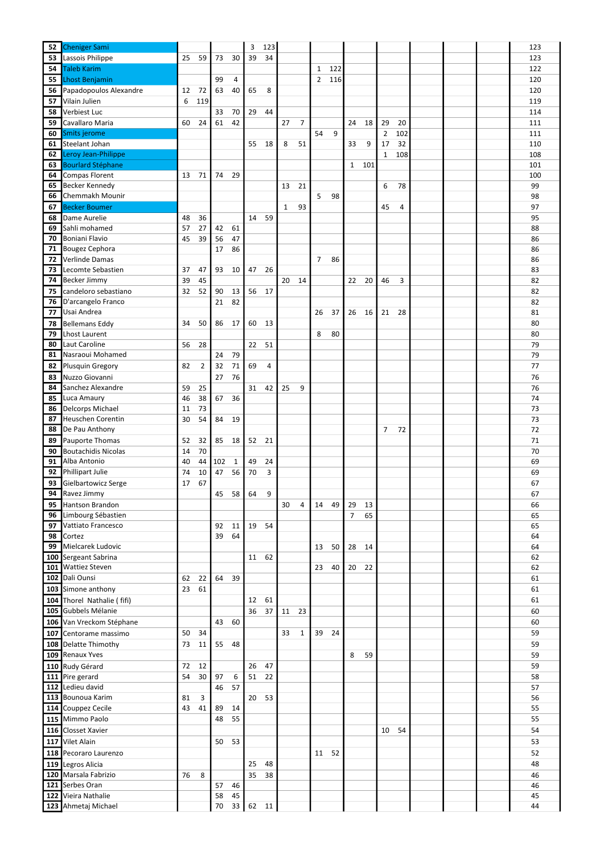| 52  | <b>Cheniger Sami</b>       |    |     |     |    | 3  | 123 |              |                |                |     |                |     |                |     |  | 123 |
|-----|----------------------------|----|-----|-----|----|----|-----|--------------|----------------|----------------|-----|----------------|-----|----------------|-----|--|-----|
| 53  | Lassois Philippe           | 25 | 59  | 73  | 30 | 39 | 34  |              |                |                |     |                |     |                |     |  | 123 |
|     | <b>Taleb Karim</b>         |    |     |     |    |    |     |              |                |                | 122 |                |     |                |     |  | 122 |
| 54  |                            |    |     |     |    |    |     |              |                | 1              |     |                |     |                |     |  |     |
| 55  | Lhost Benjamin             |    |     | 99  | 4  |    |     |              |                | $\overline{2}$ | 116 |                |     |                |     |  | 120 |
| 56  | Papadopoulos Alexandre     | 12 | 72  | 63  | 40 | 65 | 8   |              |                |                |     |                |     |                |     |  | 120 |
| 57  | Vilain Julien              | 6  | 119 |     |    |    |     |              |                |                |     |                |     |                |     |  | 119 |
| 58  | Verbiest Luc               |    |     | 33  | 70 | 29 | 44  |              |                |                |     |                |     |                |     |  | 114 |
| 59  | Cavallaro Maria            | 60 | 24  | 61  | 42 |    |     | 27           | $\overline{7}$ |                |     | 24             | 18  | 29             | 20  |  | 111 |
| 60  | Smits jerome               |    |     |     |    |    |     |              |                | 54             | 9   |                |     | $\overline{2}$ | 102 |  | 111 |
| 61  | Steelant Johan             |    |     |     |    | 55 | 18  | 8            | 51             |                |     | 33             | 9   | 17             | 32  |  | 110 |
| 62  | Leroy Jean-Philippe        |    |     |     |    |    |     |              |                |                |     |                |     | 1              | 108 |  | 108 |
| 63  | <b>Bourlard Stéphane</b>   |    |     |     |    |    |     |              |                |                |     | $\mathbf{1}$   | 101 |                |     |  | 101 |
| 64  | Compas Florent             | 13 | 71  | 74  | 29 |    |     |              |                |                |     |                |     |                |     |  | 100 |
|     |                            |    |     |     |    |    |     |              |                |                |     |                |     |                |     |  |     |
| 65  | Becker Kennedy             |    |     |     |    |    |     | 13           | 21             |                |     |                |     | 6              | 78  |  | 99  |
| 66  | Chemmakh Mounir            |    |     |     |    |    |     |              |                | 5              | 98  |                |     |                |     |  | 98  |
| 67  | <b>Becker Boumer</b>       |    |     |     |    |    |     | $\mathbf{1}$ | 93             |                |     |                |     | 45             | 4   |  | 97  |
| 68  | Dame Aurelie               | 48 | 36  |     |    | 14 | 59  |              |                |                |     |                |     |                |     |  | 95  |
| 69  | Sahli mohamed              | 57 | 27  | 42  | 61 |    |     |              |                |                |     |                |     |                |     |  | 88  |
| 70  | Boniani Flavio             | 45 | 39  | 56  | 47 |    |     |              |                |                |     |                |     |                |     |  | 86  |
| 71  | Bougez Cephora             |    |     | 17  | 86 |    |     |              |                |                |     |                |     |                |     |  | 86  |
| 72  | Verlinde Damas             |    |     |     |    |    |     |              |                | 7              | 86  |                |     |                |     |  | 86  |
| 73  | Lecomte Sebastien          | 37 | 47  | 93  | 10 | 47 | 26  |              |                |                |     |                |     |                |     |  | 83  |
| 74  | <b>Becker Jimmy</b>        | 39 | 45  |     |    |    |     | 20           | 14             |                |     | 22             | 20  | 46             | 3   |  | 82  |
| 75  | candeloro sebastiano       | 32 | 52  | 90  | 13 | 56 | 17  |              |                |                |     |                |     |                |     |  | 82  |
| 76  | D'arcangelo Franco         |    |     | 21  | 82 |    |     |              |                |                |     |                |     |                |     |  | 82  |
| 77  | Usai Andrea                |    |     |     |    |    |     |              |                | 26             | 37  | 26             | 16  | 21             | 28  |  | 81  |
|     |                            | 34 | 50  | 86  | 17 | 60 | 13  |              |                |                |     |                |     |                |     |  | 80  |
| 78  | <b>Bellemans Eddy</b>      |    |     |     |    |    |     |              |                |                |     |                |     |                |     |  |     |
| 79  | Lhost Laurent              |    |     |     |    |    |     |              |                | 8              | 80  |                |     |                |     |  | 80  |
| 80  | Laut Caroline              | 56 | 28  |     |    | 22 | 51  |              |                |                |     |                |     |                |     |  | 79  |
|     | 81 Nasraoui Mohamed        |    |     | 24  | 79 |    |     |              |                |                |     |                |     |                |     |  | 79  |
| 82  | Plusquin Gregory           | 82 | 2   | 32  | 71 | 69 | 4   |              |                |                |     |                |     |                |     |  | 77  |
| 83  | Nuzzo Giovanni             |    |     | 27  | 76 |    |     |              |                |                |     |                |     |                |     |  | 76  |
| 84  | Sanchez Alexandre          | 59 | 25  |     |    | 31 | 42  | 25           | 9              |                |     |                |     |                |     |  | 76  |
| 85  | Luca Amaury                | 46 | 38  | 67  | 36 |    |     |              |                |                |     |                |     |                |     |  | 74  |
| 86  | Delcorps Michael           | 11 | 73  |     |    |    |     |              |                |                |     |                |     |                |     |  | 73  |
| 87  | Heuschen Corentin          | 30 | 54  | 84  | 19 |    |     |              |                |                |     |                |     |                |     |  | 73  |
| 88  | De Pau Anthony             |    |     |     |    |    |     |              |                |                |     |                |     | 7              | 72  |  | 72  |
| 89  | Pauporte Thomas            | 52 | 32  | 85  | 18 | 52 | 21  |              |                |                |     |                |     |                |     |  | 71  |
| 90  | <b>Boutachidis Nicolas</b> | 14 | 70  |     |    |    |     |              |                |                |     |                |     |                |     |  | 70  |
| 91  | Alba Antonio               | 40 | 44  | 102 | 1  | 49 | 24  |              |                |                |     |                |     |                |     |  | 69  |
| 92  | Phillipart Julie           | 74 | 10  | 47  | 56 | 70 | 3   |              |                |                |     |                |     |                |     |  | 69  |
| 93  | Gielbartowicz Serge        | 17 | 67  |     |    |    |     |              |                |                |     |                |     |                |     |  | 67  |
| 94  | Ravez Jimmy                |    |     | 45  | 58 | 64 | 9   |              |                |                |     |                |     |                |     |  | 67  |
|     | Hantson Brandon            |    |     |     |    |    |     | 30           | 4              |                |     |                |     |                |     |  | 66  |
| 95  |                            |    |     |     |    |    |     |              |                | 14             | 49  | 29             | 13  |                |     |  |     |
| 96  | Limbourg Sébastien         |    |     |     |    |    |     |              |                |                |     | $\overline{7}$ | 65  |                |     |  | 65  |
| 97  | Vattiato Francesco         |    |     | 92  | 11 | 19 | 54  |              |                |                |     |                |     |                |     |  | 65  |
| 98  | Cortez                     |    |     | 39  | 64 |    |     |              |                |                |     |                |     |                |     |  | 64  |
| 99  | Mielcarek Ludovic          |    |     |     |    |    |     |              |                | 13             | 50  | 28             | 14  |                |     |  | 64  |
|     | 100 Sergeant Sabrina       |    |     |     |    | 11 | 62  |              |                |                |     |                |     |                |     |  | 62  |
| 101 | <b>Wattiez Steven</b>      |    |     |     |    |    |     |              |                | 23             | 40  | 20             | 22  |                |     |  | 62  |
|     | 102 Dali Ounsi             | 62 | 22  | 64  | 39 |    |     |              |                |                |     |                |     |                |     |  | 61  |
|     | 103 Simone anthony         | 23 | 61  |     |    |    |     |              |                |                |     |                |     |                |     |  | 61  |
|     | 104 Thorel Nathalie (fifi) |    |     |     |    | 12 | 61  |              |                |                |     |                |     |                |     |  | 61  |
|     | 105 Gubbels Mélanie        |    |     |     |    | 36 | 37  | 11           | 23             |                |     |                |     |                |     |  | 60  |
|     | 106 Van Vreckom Stéphane   |    |     | 43  | 60 |    |     |              |                |                |     |                |     |                |     |  | 60  |
| 107 | Centorame massimo          | 50 | 34  |     |    |    |     | 33           | $\mathbf{1}$   | 39             | 24  |                |     |                |     |  | 59  |
|     | 108 Delatte Thimothy       | 73 | 11  | 55  | 48 |    |     |              |                |                |     |                |     |                |     |  | 59  |
|     | 109 Renaux Yves            |    |     |     |    |    |     |              |                |                |     | 8              | 59  |                |     |  | 59  |
|     |                            |    |     |     |    |    |     |              |                |                |     |                |     |                |     |  |     |
|     | 110 Rudy Gérard            | 72 | 12  |     |    | 26 | 47  |              |                |                |     |                |     |                |     |  | 59  |
|     | 111 Pire gerard            | 54 | 30  | 97  | 6  | 51 | 22  |              |                |                |     |                |     |                |     |  | 58  |
|     | 112 Ledieu david           |    |     | 46  | 57 |    |     |              |                |                |     |                |     |                |     |  | 57  |
|     | 113 Bounoua Karim          | 81 | 3   |     |    | 20 | 53  |              |                |                |     |                |     |                |     |  | 56  |
|     | 114 Couppez Cecile         | 43 | 41  | 89  | 14 |    |     |              |                |                |     |                |     |                |     |  | 55  |
|     | 115 Mimmo Paolo            |    |     | 48  | 55 |    |     |              |                |                |     |                |     |                |     |  | 55  |
|     | 116 Closset Xavier         |    |     |     |    |    |     |              |                |                |     |                |     | 10             | 54  |  | 54  |
|     | 117 Vilet Alain            |    |     | 50  | 53 |    |     |              |                |                |     |                |     |                |     |  | 53  |
|     | 118 Pecoraro Laurenzo      |    |     |     |    |    |     |              |                | 11 52          |     |                |     |                |     |  | 52  |
|     | 119 Legros Alicia          |    |     |     |    | 25 | 48  |              |                |                |     |                |     |                |     |  | 48  |
|     | 120 Marsala Fabrizio       | 76 | 8   |     |    | 35 | 38  |              |                |                |     |                |     |                |     |  | 46  |
|     | 121 Serbes Oran            |    |     | 57  | 46 |    |     |              |                |                |     |                |     |                |     |  | 46  |
|     | 122 Vieira Nathalie        |    |     | 58  | 45 |    |     |              |                |                |     |                |     |                |     |  | 45  |
|     |                            |    |     |     |    |    |     |              |                |                |     |                |     |                |     |  |     |
|     | 123 Ahmetaj Michael        |    |     | 70  | 33 | 62 | 11  |              |                |                |     |                |     |                |     |  | 44  |